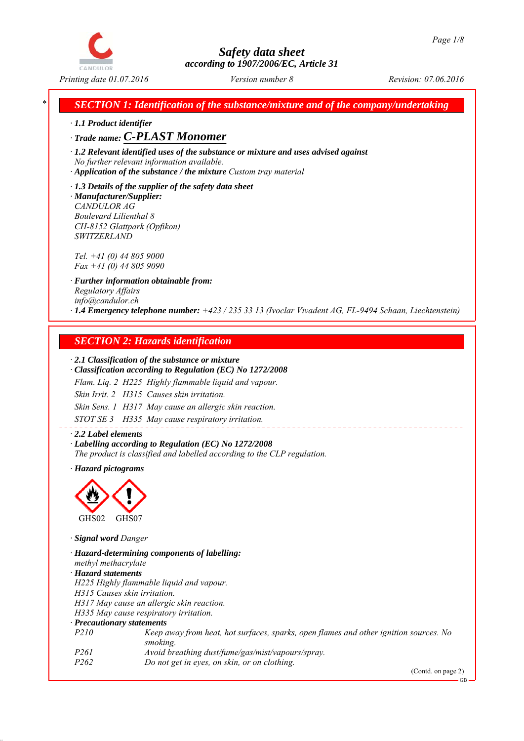

*SECTION 1: Identification of the substance/mixture and of the company/undertaking* 

*∙ 1.1 Product identifier*

*∙ Trade name: C-PLAST Monomer*

*∙ 1.2 Relevant identified uses of the substance or mixture and uses advised against No further relevant information available.*

*∙ Application of the substance / the mixture Custom tray material*

*∙ 1.3 Details of the supplier of the safety data sheet ∙ Manufacturer/Supplier: CANDULOR AG Boulevard Lilienthal 8 CH-8152 Glattpark (Opfikon) SWITZERLAND*

*Tel. +41 (0) 44 805 9000 Fax +41 (0) 44 805 9090*

*∙ Further information obtainable from: Regulatory Affairs info@candulor.ch ∙ 1.4 Emergency telephone number: +423 / 235 33 13 (Ivoclar Vivadent AG, FL-9494 Schaan, Liechtenstein)*

## *SECTION 2: Hazards identification*

#### *∙ 2.1 Classification of the substance or mixture*

*∙ Classification according to Regulation (EC) No 1272/2008*

*Flam. Liq. 2 H225 Highly flammable liquid and vapour.*

*Skin Irrit. 2 H315 Causes skin irritation.*

*Skin Sens. 1 H317 May cause an allergic skin reaction.*

*STOT SE 3 H335 May cause respiratory irritation.*

*∙ 2.2 Label elements ∙ Labelling according to Regulation (EC) No 1272/2008 The product is classified and labelled according to the CLP regulation.*

*∙ Hazard pictograms*



*∙ Signal word Danger*

*∙ Hazard-determining components of labelling: methyl methacrylate ∙ Hazard statements H225 Highly flammable liquid and vapour. H315 Causes skin irritation. H317 May cause an allergic skin reaction. H335 May cause respiratory irritation. ∙ Precautionary statements P210 Keep away from heat, hot surfaces, sparks, open flames and other ignition sources. No smoking. P261 Avoid breathing dust/fume/gas/mist/vapours/spray. P262 Do not get in eyes, on skin, or on clothing.*

(Contd. on page 2)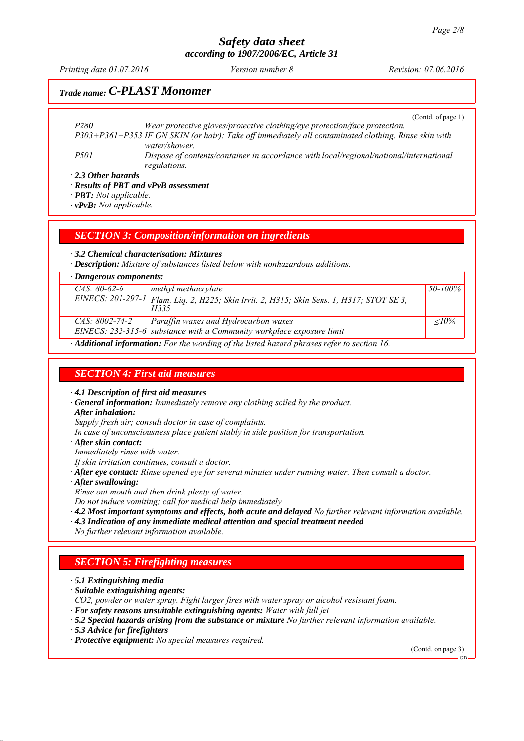*Printing date 01.07.2016 Revision: 07.06.2016 Version number 8*

## *Trade name: C-PLAST Monomer*

(Contd. of page 1)

| P <sub>280</sub>          | Wear protective gloves/protective clothing/eye protection/face protection.                           |
|---------------------------|------------------------------------------------------------------------------------------------------|
|                           | P303+P361+P353 IF ON SKIN (or hair): Take off immediately all contaminated clothing. Rinse skin with |
|                           | water/shower.                                                                                        |
| <i>P501</i>               | Dispose of contents/container in accordance with local/regional/national/international               |
|                           | regulations.                                                                                         |
| $\cdot$ 2.3 Other hazards |                                                                                                      |
| - - - - - -               |                                                                                                      |

*∙ Results of PBT and vPvB assessment*

*∙ PBT: Not applicable.*

*∙ vPvB: Not applicable.*

*SECTION 3: Composition/information on ingredients*

*∙ 3.2 Chemical characterisation: Mixtures*

*∙ Description: Mixture of substances listed below with nonhazardous additions.*

| $\cdot$ Dangerous components: |                                                                                                   |            |
|-------------------------------|---------------------------------------------------------------------------------------------------|------------|
| $CAS: 80-62-6$                | methyl methacrylate                                                                               | 50-100%    |
|                               | EINECS: 201-297-1 Flam. Lig. 2, H225; Skin Irrit. 2, H315; Skin Sens. 1, H317; STOT SE 3,<br>H335 |            |
| $CAS: 8002-74-2$              | Paraffin waxes and Hydrocarbon waxes                                                              | $\leq$ 10% |
|                               | EINECS: 232-315-6 substance with a Community workplace exposure limit                             |            |
|                               | Additional information, Equito wording of the listed harand physes usfor to section 16            |            |

*∙ Additional information: For the wording of the listed hazard phrases refer to section 16.*

## *SECTION 4: First aid measures*

*∙ 4.1 Description of first aid measures*

- *∙ General information: Immediately remove any clothing soiled by the product.*
- *∙ After inhalation:*

*Supply fresh air; consult doctor in case of complaints.*

- *In case of unconsciousness place patient stably in side position for transportation.*
- *∙ After skin contact:*

*Immediately rinse with water.*

- *If skin irritation continues, consult a doctor.*
- *∙ After eye contact: Rinse opened eye for several minutes under running water. Then consult a doctor.*
- *∙ After swallowing:*
- *Rinse out mouth and then drink plenty of water.*

*Do not induce vomiting; call for medical help immediately.*

- *∙ 4.2 Most important symptoms and effects, both acute and delayed No further relevant information available.*
- *∙ 4.3 Indication of any immediate medical attention and special treatment needed*
- *No further relevant information available.*

### *SECTION 5: Firefighting measures*

*∙ 5.1 Extinguishing media*

- *∙ Suitable extinguishing agents:*
- *CO2, powder or water spray. Fight larger fires with water spray or alcohol resistant foam.*
- *∙ For safety reasons unsuitable extinguishing agents: Water with full jet*
- *∙ 5.2 Special hazards arising from the substance or mixture No further relevant information available.*
- *∙ 5.3 Advice for firefighters*

*∙ Protective equipment: No special measures required.*

(Contd. on page 3)

GB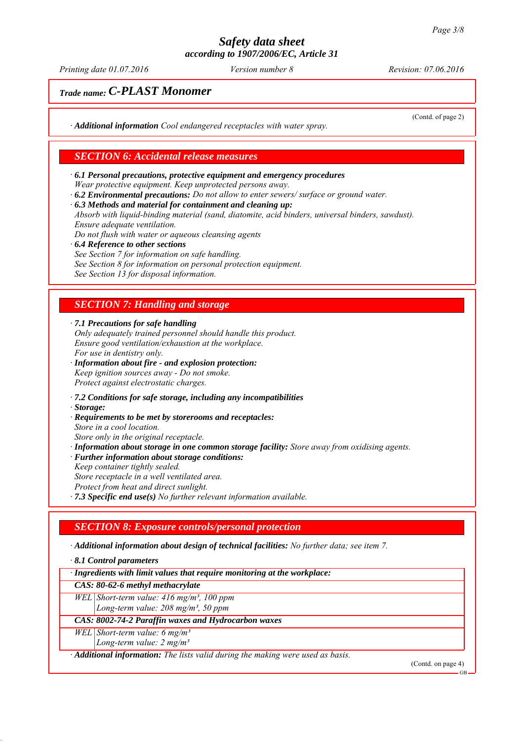*Printing date 01.07.2016 Revision: 07.06.2016 Version number 8*

(Contd. of page 2)

# *Trade name: C-PLAST Monomer*

*∙ Additional information Cool endangered receptacles with water spray.*

## *SECTION 6: Accidental release measures*

- *∙ 6.1 Personal precautions, protective equipment and emergency procedures Wear protective equipment. Keep unprotected persons away.*
- *∙ 6.2 Environmental precautions: Do not allow to enter sewers/ surface or ground water.*
- *∙ 6.3 Methods and material for containment and cleaning up:*

*Absorb with liquid-binding material (sand, diatomite, acid binders, universal binders, sawdust). Ensure adequate ventilation.*

*Do not flush with water or aqueous cleansing agents*

*∙ 6.4 Reference to other sections See Section 7 for information on safe handling. See Section 8 for information on personal protection equipment. See Section 13 for disposal information.*

## *SECTION 7: Handling and storage*

*∙ 7.1 Precautions for safe handling*

- *Only adequately trained personnel should handle this product. Ensure good ventilation/exhaustion at the workplace. For use in dentistry only.*
- *∙ Information about fire and explosion protection: Keep ignition sources away - Do not smoke. Protect against electrostatic charges.*
- *∙ 7.2 Conditions for safe storage, including any incompatibilities*
- *∙ Storage:*
- *∙ Requirements to be met by storerooms and receptacles:*
- *Store in a cool location.*
- *Store only in the original receptacle. ∙ Information about storage in one common storage facility: Store away from oxidising agents.*
- *∙ Further information about storage conditions:*
- *Keep container tightly sealed. Store receptacle in a well ventilated area.*
- *Protect from heat and direct sunlight.*
- *∙ 7.3 Specific end use(s) No further relevant information available.*

### *SECTION 8: Exposure controls/personal protection*

*∙ Additional information about design of technical facilities: No further data; see item 7.*

*∙ 8.1 Control parameters*

| · Ingredients with limit values that require monitoring at the workplace: |  |  |  |  |
|---------------------------------------------------------------------------|--|--|--|--|
|                                                                           |  |  |  |  |

#### *CAS: 80-62-6 methyl methacrylate*

*WEL Short-term value: 416 mg/m³, 100 ppm*

*Long-term value: 208 mg/m³, 50 ppm*

*CAS: 8002-74-2 Paraffin waxes and Hydrocarbon waxes*

*WEL Short-term value: 6 mg/m³*

*Long-term value: 2 mg/m³*

*∙ Additional information: The lists valid during the making were used as basis.*

(Contd. on page 4)

GB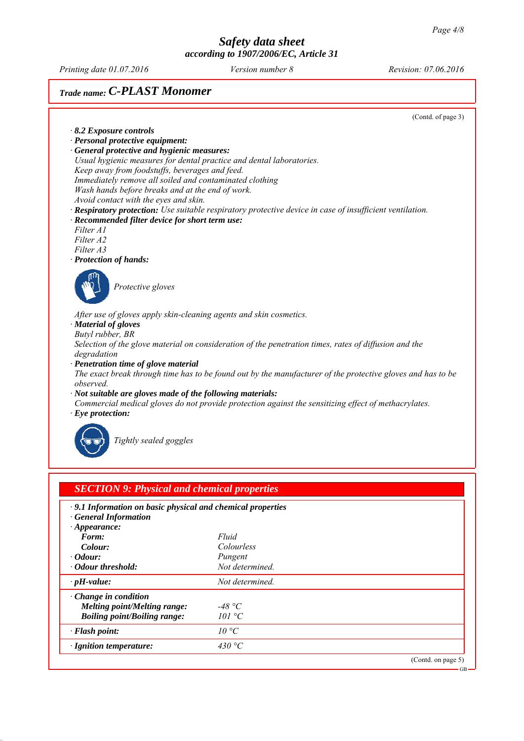*Printing date 01.07.2016 Revision: 07.06.2016 Version number 8*

# *Trade name: C-PLAST Monomer*

(Contd. of page 3)

GB

- *∙ 8.2 Exposure controls*
- *∙ Personal protective equipment: ∙ General protective and hygienic measures:*
- *Usual hygienic measures for dental practice and dental laboratories. Keep away from foodstuffs, beverages and feed. Immediately remove all soiled and contaminated clothing Wash hands before breaks and at the end of work.*
- *Avoid contact with the eyes and skin.*
- *∙ Respiratory protection: Use suitable respiratory protective device in case of insufficient ventilation.*
- *∙ Recommended filter device for short term use:*
- *Filter A1 Filter A2*
- *Filter A3*
- *∙ Protection of hands:*



*Protective gloves*

*After use of gloves apply skin-cleaning agents and skin cosmetics.*

- *∙ Material of gloves*
- *Butyl rubber, BR*

*Selection of the glove material on consideration of the penetration times, rates of diffusion and the degradation*

*∙ Penetration time of glove material*

*The exact break through time has to be found out by the manufacturer of the protective gloves and has to be observed.*

- *∙ Not suitable are gloves made of the following materials:*
- *Commercial medical gloves do not provide protection against the sensitizing effect of methacrylates.*
- *∙ Eye protection:*



*Tightly sealed goggles*

| .9.1 Information on basic physical and chemical properties |                 |  |
|------------------------------------------------------------|-----------------|--|
| · General Information                                      |                 |  |
| $\cdot$ Appearance:                                        |                 |  |
| Form:                                                      | Fluid           |  |
| Colour:                                                    | Colourless      |  |
| $\cdot$ <i>Odour:</i>                                      | Pungent         |  |
| • Odour threshold:                                         | Not determined  |  |
| $\cdot$ pH-value:                                          | Not determined. |  |
| $\cdot$ Change in condition                                |                 |  |
| <b>Melting point/Melting range:</b>                        | -48 °C          |  |
| <b>Boiling point/Boiling range:</b>                        | 101 °C          |  |
| $\cdot$ Flash point:                                       | $10^{\circ}C$   |  |
| · Ignition temperature:                                    | 430 °C          |  |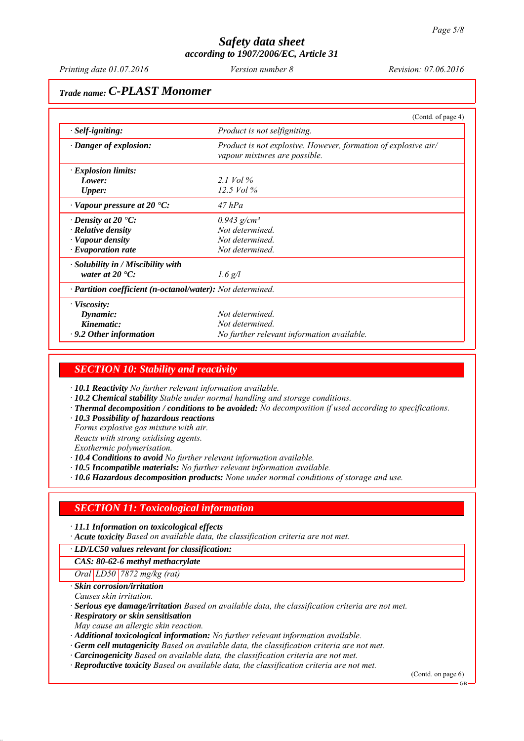*Printing date 01.07.2016 Revision: 07.06.2016 Version number 8*

## *Trade name: C-PLAST Monomer*

|                                                            | (Contd. of page 4)                                                                              |
|------------------------------------------------------------|-------------------------------------------------------------------------------------------------|
| · Self-igniting:                                           | Product is not selfigniting.                                                                    |
| $\cdot$ Danger of explosion:                               | Product is not explosive. However, formation of explosive air/<br>vapour mixtures are possible. |
| <b>Explosion limits:</b>                                   |                                                                                                 |
| Lower:                                                     | 2.1 Vol $\%$                                                                                    |
| Upper:                                                     | 12.5 Vol $\%$                                                                                   |
| $\cdot$ Vapour pressure at 20 $\cdot$ C:                   | $47$ $hPa$                                                                                      |
| $\cdot$ Density at 20 $\cdot$ C:                           | $0.943$ g/cm <sup>3</sup>                                                                       |
| · Relative density                                         | Not determined.                                                                                 |
| · Vapour density                                           | Not determined.                                                                                 |
| $\cdot$ Evaporation rate                                   | Not determined.                                                                                 |
| · Solubility in / Miscibility with                         |                                                                                                 |
| water at $20^{\circ}$ C:                                   | $1.6$ g/l                                                                                       |
| · Partition coefficient (n-octanol/water): Not determined. |                                                                                                 |
| $\cdot$ Viscosity:                                         |                                                                                                 |
| Dynamic:                                                   | Not determined.                                                                                 |
| Kinematic:                                                 | Not determined.                                                                                 |
| $\cdot$ 9.2 Other information                              | No further relevant information available.                                                      |

#### *SECTION 10: Stability and reactivity*

*∙ 10.1 Reactivity No further relevant information available.*

- *∙ 10.2 Chemical stability Stable under normal handling and storage conditions.*
- *∙ Thermal decomposition / conditions to be avoided: No decomposition if used according to specifications.*
- *∙ 10.3 Possibility of hazardous reactions*
- *Forms explosive gas mixture with air.*
- *Reacts with strong oxidising agents.*

*Exothermic polymerisation.*

- *∙ 10.4 Conditions to avoid No further relevant information available.*
- *∙ 10.5 Incompatible materials: No further relevant information available.*
- *∙ 10.6 Hazardous decomposition products: None under normal conditions of storage and use.*

### *SECTION 11: Toxicological information*

*∙ 11.1 Information on toxicological effects*

*∙ Acute toxicity Based on available data, the classification criteria are not met.*

*∙ LD/LC50 values relevant for classification:*

#### *CAS: 80-62-6 methyl methacrylate*

*Oral LD50 7872 mg/kg (rat)*

*∙ Skin corrosion/irritation*

*Causes skin irritation.*

*∙ Serious eye damage/irritation Based on available data, the classification criteria are not met.*

*∙ Respiratory or skin sensitisation*

*May cause an allergic skin reaction.*

*∙ Additional toxicological information: No further relevant information available.*

- *∙ Germ cell mutagenicity Based on available data, the classification criteria are not met.*
- *∙ Carcinogenicity Based on available data, the classification criteria are not met.*
- *∙ Reproductive toxicity Based on available data, the classification criteria are not met.*

(Contd. on page 6)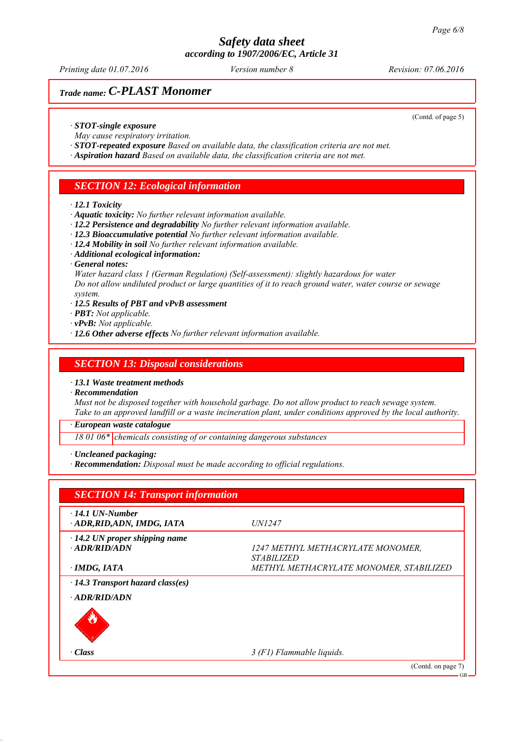*Printing date 01.07.2016 Revision: 07.06.2016 Version number 8*

# *Trade name: C-PLAST Monomer*

(Contd. of page 5)

- *∙ STOT-single exposure*
- *May cause respiratory irritation.*
- *∙ STOT-repeated exposure Based on available data, the classification criteria are not met.*
- *∙ Aspiration hazard Based on available data, the classification criteria are not met.*

## *SECTION 12: Ecological information*

#### *∙ 12.1 Toxicity*

- *∙ Aquatic toxicity: No further relevant information available.*
- *∙ 12.2 Persistence and degradability No further relevant information available.*
- *∙ 12.3 Bioaccumulative potential No further relevant information available.*
- *∙ 12.4 Mobility in soil No further relevant information available.*
- *∙ Additional ecological information:*
- *∙ General notes:*

*Water hazard class 1 (German Regulation) (Self-assessment): slightly hazardous for water Do not allow undiluted product or large quantities of it to reach ground water, water course or sewage system.*

- *∙ 12.5 Results of PBT and vPvB assessment*
- *∙ PBT: Not applicable.*
- *∙ vPvB: Not applicable.*
- *∙ 12.6 Other adverse effects No further relevant information available.*

#### *SECTION 13: Disposal considerations*

*∙ 13.1 Waste treatment methods*

*∙ Recommendation*

*Must not be disposed together with household garbage. Do not allow product to reach sewage system. Take to an approved landfill or a waste incineration plant, under conditions approved by the local authority.*

*∙ European waste catalogue*

*18 01 06\* chemicals consisting of or containing dangerous substances*

*∙ Uncleaned packaging:*

*∙ Recommendation: Disposal must be made according to official regulations.*

| <b>SECTION 14: Transport information</b>              |                                                                      |
|-------------------------------------------------------|----------------------------------------------------------------------|
| $\cdot$ 14.1 UN-Number<br>ADR, RID, ADN, IMDG, IATA   | <i>UN1247</i>                                                        |
| $\cdot$ 14.2 UN proper shipping name<br>· ADR/RID/ADN | <i>1247 METHYL METHACRYLATE MONOMER.</i><br><i><b>STABILIZED</b></i> |
| · IMDG, IATA                                          | METHYL METHACRYLATE MONOMER, STABILIZED                              |
| · 14.3 Transport hazard class(es)                     |                                                                      |
| · ADR/RID/ADN                                         |                                                                      |
|                                                       |                                                                      |
| $\cdot$ Class                                         | 3 (F1) Flammable liquids.                                            |
|                                                       | (Contd. on page 7)                                                   |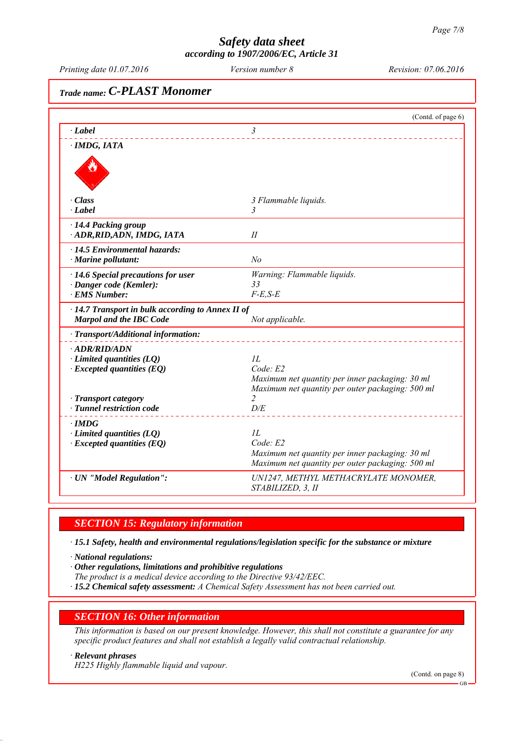*Printing date 01.07.2016 Revision: 07.06.2016 Version number 8*

# *Trade name: C-PLAST Monomer* (Contd. of page 6) *∙ Label 3 ∙ IMDG, IATA ∙ Class 3 Flammable liquids. ∙ Label 3 ∙ 14.4 Packing group ∙ ADR,RID,ADN, IMDG, IATA II ∙ 14.5 Environmental hazards: ∙ Marine pollutant: No ∙ 14.6 Special precautions for user Warning: Flammable liquids. ∙ Danger code (Kemler): 33 ∙ EMS Number: F-E,S-E ∙ 14.7 Transport in bulk according to Annex II of Marpol and the IBC Code Not applicable. ∙ Transport/Additional information: ∙ ADR/RID/ADN ∂ Limited quantities (LQ) 1L*<br>*∙ Excepted quantities (EQ) Code E2 ∗ Excepted quantities (EQ) Maximum net quantity per inner packaging: 30 ml Maximum net quantity per outer packaging: 500 ml −* **Transport category 2 2**<br>*− Tunnel restriction code <i>D/E ∤ <i>Tunnel restriction code ∙ IMDG ∙ Limited quantities (LQ) 1L ∙ Excepted quantities (EQ) Code: E2 Maximum net quantity per inner packaging: 30 ml Maximum net quantity per outer packaging: 500 ml ∙ UN "Model Regulation": UN1247, METHYL METHACRYLATE MONOMER, STABILIZED, 3, II*

## *SECTION 15: Regulatory information*

*∙ 15.1 Safety, health and environmental regulations/legislation specific for the substance or mixture*

*∙ National regulations:*

*∙ Other regulations, limitations and prohibitive regulations*

*The product is a medical device according to the Directive 93/42/EEC.*

*∙ 15.2 Chemical safety assessment: A Chemical Safety Assessment has not been carried out.*

#### *SECTION 16: Other information*

*This information is based on our present knowledge. However, this shall not constitute a guarantee for any specific product features and shall not establish a legally valid contractual relationship.*

*∙ Relevant phrases*

*H225 Highly flammable liquid and vapour.*

(Contd. on page 8)

GB